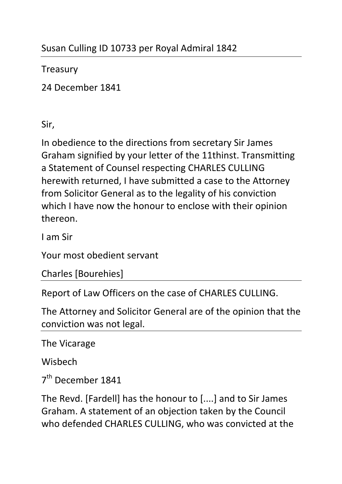## **Treasury**

24 December 1841

Sir,

In obedience to the directions from secretary Sir James Graham signified by your letter of the 11thinst. Transmitting a Statement of Counsel respecting CHARLES CULLING herewith returned, I have submitted a case to the Attorney from Solicitor General as to the legality of his conviction which I have now the honour to enclose with their opinion thereon.

I am Sir

Your most obedient servant

Charles [Bourehies]

Report of Law Officers on the case of CHARLES CULLING.

The Attorney and Solicitor General are of the opinion that the conviction was not legal.

The Vicarage

Wisbech

7<sup>th</sup> December 1841

The Revd. [Fardell] has the honour to [....] and to Sir James Graham. A statement of an objection taken by the Council who defended CHARLES CULLING, who was convicted at the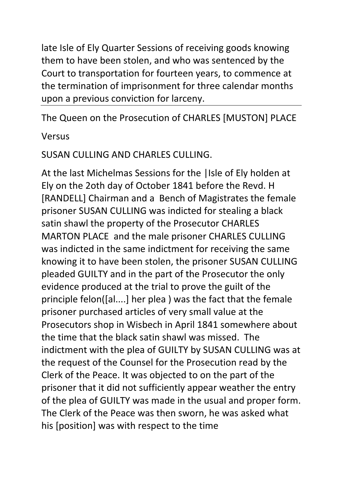late Isle of Ely Quarter Sessions of receiving goods knowing them to have been stolen, and who was sentenced by the Court to transportation for fourteen years, to commence at the termination of imprisonment for three calendar months upon a previous conviction for larceny.

The Queen on the Prosecution of CHARLES [MUSTON] PLACE

## Versus

## SUSAN CULLING AND CHARLES CULLING.

At the last Michelmas Sessions for the |Isle of Ely holden at Ely on the 2oth day of October 1841 before the Revd. H [RANDELL] Chairman and a Bench of Magistrates the female prisoner SUSAN CULLING was indicted for stealing a black satin shawl the property of the Prosecutor CHARLES MARTON PLACE and the male prisoner CHARLES CULLING was indicted in the same indictment for receiving the same knowing it to have been stolen, the prisoner SUSAN CULLING pleaded GUILTY and in the part of the Prosecutor the only evidence produced at the trial to prove the guilt of the principle felon([al....] her plea ) was the fact that the female prisoner purchased articles of very small value at the Prosecutors shop in Wisbech in April 1841 somewhere about the time that the black satin shawl was missed. The indictment with the plea of GUILTY by SUSAN CULLING was at the request of the Counsel for the Prosecution read by the Clerk of the Peace. It was objected to on the part of the prisoner that it did not sufficiently appear weather the entry of the plea of GUILTY was made in the usual and proper form. The Clerk of the Peace was then sworn, he was asked what his [position] was with respect to the time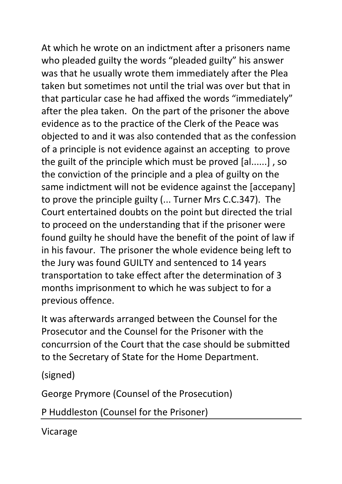At which he wrote on an indictment after a prisoners name who pleaded guilty the words "pleaded guilty" his answer was that he usually wrote them immediately after the Plea taken but sometimes not until the trial was over but that in that particular case he had affixed the words "immediately" after the plea taken. On the part of the prisoner the above evidence as to the practice of the Clerk of the Peace was objected to and it was also contended that as the confession of a principle is not evidence against an accepting to prove the guilt of the principle which must be proved [al......] , so the conviction of the principle and a plea of guilty on the same indictment will not be evidence against the [accepany] to prove the principle guilty (... Turner Mrs C.C.347). The Court entertained doubts on the point but directed the trial to proceed on the understanding that if the prisoner were found guilty he should have the benefit of the point of law if in his favour. The prisoner the whole evidence being left to the Jury was found GUILTY and sentenced to 14 years transportation to take effect after the determination of 3 months imprisonment to which he was subject to for a previous offence.

It was afterwards arranged between the Counsel for the Prosecutor and the Counsel for the Prisoner with the concurrsion of the Court that the case should be submitted to the Secretary of State for the Home Department.

(signed)

George Prymore (Counsel of the Prosecution)

P Huddleston (Counsel for the Prisoner)

Vicarage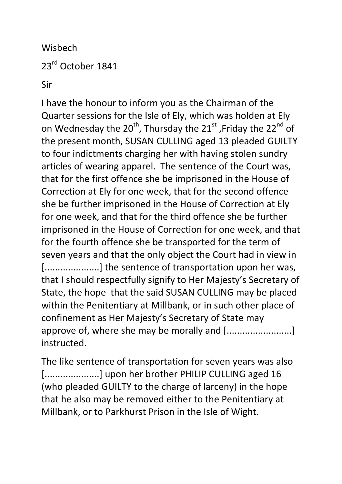Wisbech 23<sup>rd</sup> October 1841

Sir

I have the honour to inform you as the Chairman of the Quarter sessions for the Isle of Ely, which was holden at Ely on Wednesday the  $20^{th}$ , Thursday the  $21^{st}$ , Friday the  $22^{nd}$  of the present month, SUSAN CULLING aged 13 pleaded GUILTY to four indictments charging her with having stolen sundry articles of wearing apparel. The sentence of the Court was, that for the first offence she be imprisoned in the House of Correction at Ely for one week, that for the second offence she be further imprisoned in the House of Correction at Ely for one week, and that for the third offence she be further imprisoned in the House of Correction for one week, and that for the fourth offence she be transported for the term of seven years and that the only object the Court had in view in [.....................] the sentence of transportation upon her was, that I should respectfully signify to Her Majesty's Secretary of State, the hope that the said SUSAN CULLING may be placed within the Penitentiary at Millbank, or in such other place of confinement as Her Majesty's Secretary of State may approve of, where she may be morally and [.........................] instructed.

The like sentence of transportation for seven years was also [.....................] upon her brother PHILIP CULLING aged 16 (who pleaded GUILTY to the charge of larceny) in the hope that he also may be removed either to the Penitentiary at Millbank, or to Parkhurst Prison in the Isle of Wight.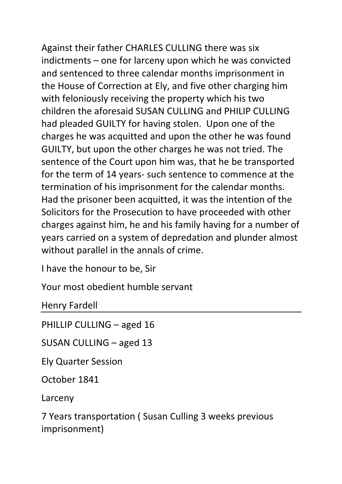Against their father CHARLES CULLING there was six indictments – one for larceny upon which he was convicted and sentenced to three calendar months imprisonment in the House of Correction at Ely, and five other charging him with feloniously receiving the property which his two children the aforesaid SUSAN CULLING and PHILIP CULLING had pleaded GUILTY for having stolen. Upon one of the charges he was acquitted and upon the other he was found GUILTY, but upon the other charges he was not tried. The sentence of the Court upon him was, that he be transported for the term of 14 years- such sentence to commence at the termination of his imprisonment for the calendar months. Had the prisoner been acquitted, it was the intention of the Solicitors for the Prosecution to have proceeded with other charges against him, he and his family having for a number of years carried on a system of depredation and plunder almost without parallel in the annals of crime.

I have the honour to be, Sir

Your most obedient humble servant

Henry Fardell

PHILLIP CULLING – aged 16

SUSAN CULLING – aged 13

Ely Quarter Session

October 1841

Larceny

7 Years transportation ( Susan Culling 3 weeks previous imprisonment)